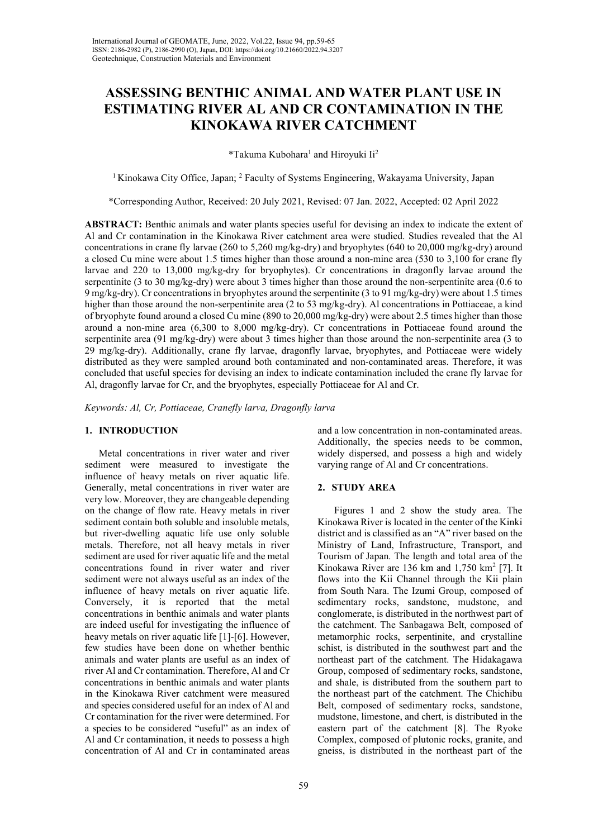# ASSESSING BENTHIC ANIMAL AND WATER PLANT USE IN ESTIMATING RIVER AL AND CR CONTAMINATION IN THE KINOKAWA RIVER CATCHMENT

\*Takuma Kubohara<sup>1</sup> and Hiroyuki Ii<sup>2</sup>

<sup>1</sup> Kinokawa City Office, Japan; <sup>2</sup> Faculty of Systems Engineering, Wakayama University, Japan

\*Corresponding Author, Received: 20 July 2021, Revised: 07 Jan. 2022, Accepted: 02 April 2022

ABSTRACT: Benthic animals and water plants species useful for devising an index to indicate the extent of Al and Cr contamination in the Kinokawa River catchment area were studied. Studies revealed that the Al concentrations in crane fly larvae (260 to 5,260 mg/kg-dry) and bryophytes (640 to 20,000 mg/kg-dry) around a closed Cu mine were about 1.5 times higher than those around a non-mine area (530 to 3,100 for crane fly larvae and 220 to 13,000 mg/kg-dry for bryophytes). Cr concentrations in dragonfly larvae around the serpentinite (3 to 30 mg/kg-dry) were about 3 times higher than those around the non-serpentinite area (0.6 to 9 mg/kg-dry). Cr concentrations in bryophytes around the serpentinite (3 to 91 mg/kg-dry) were about 1.5 times higher than those around the non-serpentinite area (2 to 53 mg/kg-dry). Al concentrations in Pottiaceae, a kind of bryophyte found around a closed Cu mine (890 to 20,000 mg/kg-dry) were about 2.5 times higher than those around a non-mine area (6,300 to 8,000 mg/kg-dry). Cr concentrations in Pottiaceae found around the serpentinite area (91 mg/kg-dry) were about 3 times higher than those around the non-serpentinite area (3 to 29 mg/kg-dry). Additionally, crane fly larvae, dragonfly larvae, bryophytes, and Pottiaceae were widely distributed as they were sampled around both contaminated and non-contaminated areas. Therefore, it was concluded that useful species for devising an index to indicate contamination included the crane fly larvae for Al, dragonfly larvae for Cr, and the bryophytes, especially Pottiaceae for Al and Cr.

Keywords: Al, Cr, Pottiaceae, Cranefly larva, Dragonfly larva

# 1. INTRODUCTION

Metal concentrations in river water and river sediment were measured to investigate the influence of heavy metals on river aquatic life. Generally, metal concentrations in river water are very low. Moreover, they are changeable depending on the change of flow rate. Heavy metals in river sediment contain both soluble and insoluble metals, but river-dwelling aquatic life use only soluble metals. Therefore, not all heavy metals in river sediment are used for river aquatic life and the metal concentrations found in river water and river sediment were not always useful as an index of the influence of heavy metals on river aquatic life. Conversely, it is reported that the metal concentrations in benthic animals and water plants are indeed useful for investigating the influence of heavy metals on river aquatic life [1]-[6]. However, few studies have been done on whether benthic animals and water plants are useful as an index of river Al and Cr contamination. Therefore, Al and Cr concentrations in benthic animals and water plants in the Kinokawa River catchment were measured and species considered useful for an index of Al and Cr contamination for the river were determined. For a species to be considered "useful" as an index of Al and Cr contamination, it needs to possess a high concentration of Al and Cr in contaminated areas

and a low concentration in non-contaminated areas. Additionally, the species needs to be common, widely dispersed, and possess a high and widely varying range of Al and Cr concentrations.

# 2. STUDY AREA

 Figures 1 and 2 show the study area. The Kinokawa River is located in the center of the Kinki district and is classified as an "A" river based on the Ministry of Land, Infrastructure, Transport, and Tourism of Japan. The length and total area of the Kinokawa River are 136 km and  $1,750$  km<sup>2</sup> [7]. It flows into the Kii Channel through the Kii plain from South Nara. The Izumi Group, composed of sedimentary rocks, sandstone, mudstone, and conglomerate, is distributed in the northwest part of the catchment. The Sanbagawa Belt, composed of metamorphic rocks, serpentinite, and crystalline schist, is distributed in the southwest part and the northeast part of the catchment. The Hidakagawa Group, composed of sedimentary rocks, sandstone, and shale, is distributed from the southern part to the northeast part of the catchment. The Chichibu Belt, composed of sedimentary rocks, sandstone, mudstone, limestone, and chert, is distributed in the eastern part of the catchment [8]. The Ryoke Complex, composed of plutonic rocks, granite, and gneiss, is distributed in the northeast part of the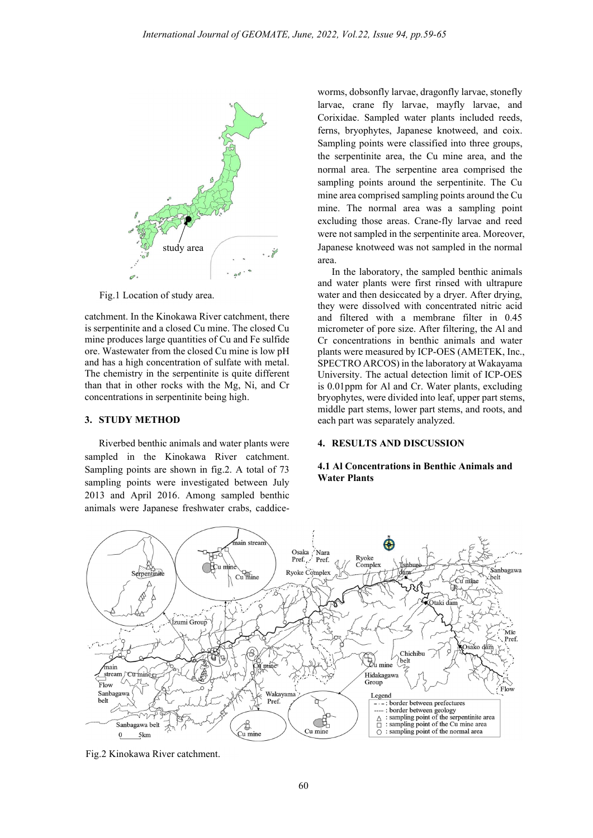

Fig.1 Location of study area.

catchment. In the Kinokawa River catchment, there is serpentinite and a closed Cu mine. The closed Cu mine produces large quantities of Cu and Fe sulfide ore. Wastewater from the closed Cu mine is low pH and has a high concentration of sulfate with metal. The chemistry in the serpentinite is quite different than that in other rocks with the Mg, Ni, and Cr concentrations in serpentinite being high.

## 3. STUDY METHOD

Riverbed benthic animals and water plants were sampled in the Kinokawa River catchment. Sampling points are shown in fig.2. A total of 73 sampling points were investigated between July 2013 and April 2016. Among sampled benthic animals were Japanese freshwater crabs, caddiceworms, dobsonfly larvae, dragonfly larvae, stonefly larvae, crane fly larvae, mayfly larvae, and Corixidae. Sampled water plants included reeds, ferns, bryophytes, Japanese knotweed, and coix. Sampling points were classified into three groups, the serpentinite area, the Cu mine area, and the normal area. The serpentine area comprised the sampling points around the serpentinite. The Cu mine area comprised sampling points around the Cu mine. The normal area was a sampling point excluding those areas. Crane-fly larvae and reed were not sampled in the serpentinite area. Moreover, Japanese knotweed was not sampled in the normal area.

In the laboratory, the sampled benthic animals and water plants were first rinsed with ultrapure water and then desiccated by a dryer. After drying, they were dissolved with concentrated nitric acid and filtered with a membrane filter in 0.45 micrometer of pore size. After filtering, the Al and Cr concentrations in benthic animals and water plants were measured by ICP-OES (AMETEK, Inc., SPECTRO ARCOS) in the laboratory at Wakayama University. The actual detection limit of ICP-OES is 0.01ppm for Al and Cr. Water plants, excluding bryophytes, were divided into leaf, upper part stems, middle part stems, lower part stems, and roots, and each part was separately analyzed.

#### 4. RESULTS AND DISCUSSION

#### 4.1 Al Concentrations in Benthic Animals and Water Plants



Fig.2 Kinokawa River catchment.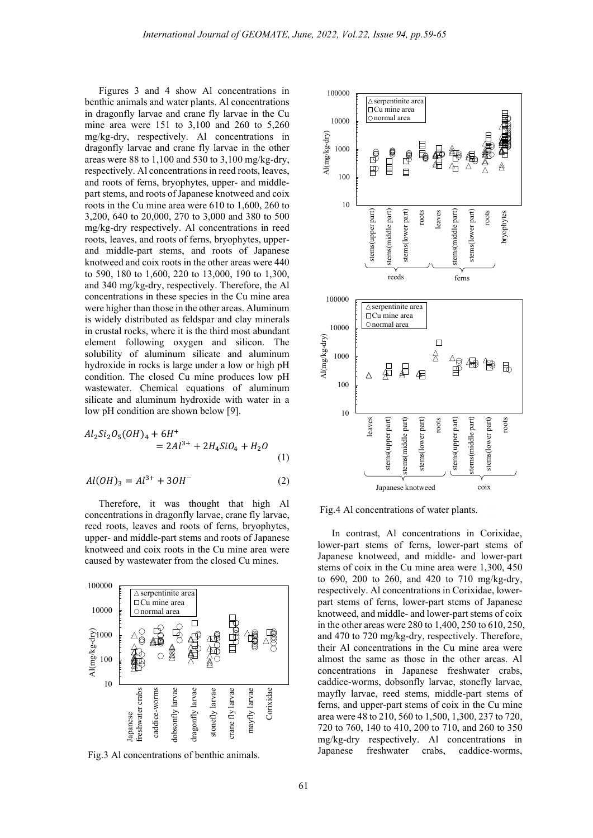Figures 3 and 4 show Al concentrations in benthic animals and water plants. Al concentrations in dragonfly larvae and crane fly larvae in the Cu mine area were 151 to 3,100 and 260 to 5,260 mg/kg-dry, respectively. Al concentrations in dragonfly larvae and crane fly larvae in the other areas were 88 to 1,100 and 530 to 3,100 mg/kg-dry, respectively. Al concentrations in reed roots, leaves, and roots of ferns, bryophytes, upper- and middlepart stems, and roots of Japanese knotweed and coix roots in the Cu mine area were 610 to 1,600, 260 to 3,200, 640 to 20,000, 270 to 3,000 and 380 to 500 mg/kg-dry respectively. Al concentrations in reed roots, leaves, and roots of ferns, bryophytes, upperand middle-part stems, and roots of Japanese knotweed and coix roots in the other areas were 440 to 590, 180 to 1,600, 220 to 13,000, 190 to 1,300, and 340 mg/kg-dry, respectively. Therefore, the Al concentrations in these species in the Cu mine area were higher than those in the other areas. Aluminum is widely distributed as feldspar and clay minerals in crustal rocks, where it is the third most abundant element following oxygen and silicon. The solubility of aluminum silicate and aluminum hydroxide in rocks is large under a low or high pH condition. The closed Cu mine produces low pH wastewater. Chemical equations of aluminum silicate and aluminum hydroxide with water in a low pH condition are shown below [9].

$$
Al_2Si_2O_5(OH)_4 + 6H^+ = 2Al^{3+} + 2H_4SiO_4 + H_2O
$$
\n(1)

$$
Al(OH)_3 = Al^{3+} + 3OH^-
$$
 (2)

Therefore, it was thought that high Al concentrations in dragonfly larvae, crane fly larvae, reed roots, leaves and roots of ferns, bryophytes, upper- and middle-part stems and roots of Japanese knotweed and coix roots in the Cu mine area were caused by wastewater from the closed Cu mines.



Fig.3 Al concentrations of benthic animals.



Fig.4 Al concentrations of water plants.

In contrast, Al concentrations in Corixidae, lower-part stems of ferns, lower-part stems of Japanese knotweed, and middle- and lower-part stems of coix in the Cu mine area were 1,300, 450 to 690, 200 to 260, and 420 to 710 mg/kg-dry, respectively. Al concentrations in Corixidae, lowerpart stems of ferns, lower-part stems of Japanese knotweed, and middle- and lower-part stems of coix in the other areas were 280 to 1,400, 250 to 610, 250, and 470 to 720 mg/kg-dry, respectively. Therefore, their Al concentrations in the Cu mine area were almost the same as those in the other areas. Al concentrations in Japanese freshwater crabs, caddice-worms, dobsonfly larvae, stonefly larvae, mayfly larvae, reed stems, middle-part stems of ferns, and upper-part stems of coix in the Cu mine area were 48 to 210, 560 to 1,500, 1,300, 237 to 720, 720 to 760, 140 to 410, 200 to 710, and 260 to 350 mg/kg-dry respectively. Al concentrations in Japanese freshwater crabs, caddice-worms,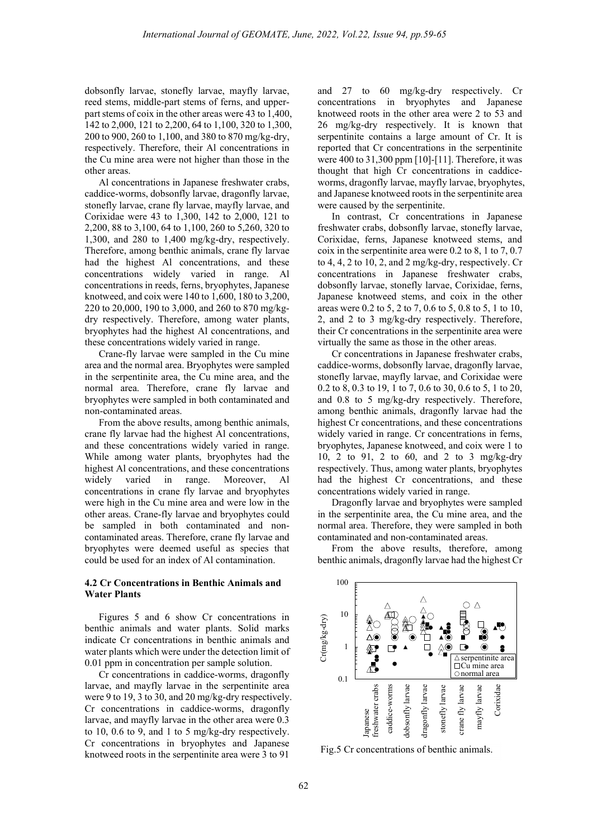dobsonfly larvae, stonefly larvae, mayfly larvae, reed stems, middle-part stems of ferns, and upperpart stems of coix in the other areas were 43 to 1,400, 142 to 2,000, 121 to 2,200, 64 to 1,100, 320 to 1,300, 200 to 900, 260 to 1,100, and 380 to 870 mg/kg-dry, respectively. Therefore, their Al concentrations in the Cu mine area were not higher than those in the other areas.

Al concentrations in Japanese freshwater crabs, caddice-worms, dobsonfly larvae, dragonfly larvae, stonefly larvae, crane fly larvae, mayfly larvae, and Corixidae were 43 to 1,300, 142 to 2,000, 121 to 2,200, 88 to 3,100, 64 to 1,100, 260 to 5,260, 320 to 1,300, and 280 to 1,400 mg/kg-dry, respectively. Therefore, among benthic animals, crane fly larvae had the highest Al concentrations, and these concentrations widely varied in range. Al concentrations in reeds, ferns, bryophytes, Japanese knotweed, and coix were 140 to 1,600, 180 to 3,200, 220 to 20,000, 190 to 3,000, and 260 to 870 mg/kgdry respectively. Therefore, among water plants, bryophytes had the highest Al concentrations, and these concentrations widely varied in range.

Crane-fly larvae were sampled in the Cu mine area and the normal area. Bryophytes were sampled in the serpentinite area, the Cu mine area, and the normal area. Therefore, crane fly larvae and bryophytes were sampled in both contaminated and non-contaminated areas.

From the above results, among benthic animals, crane fly larvae had the highest Al concentrations, and these concentrations widely varied in range. While among water plants, bryophytes had the highest Al concentrations, and these concentrations widely varied in range. Moreover, Al concentrations in crane fly larvae and bryophytes were high in the Cu mine area and were low in the other areas. Crane-fly larvae and bryophytes could be sampled in both contaminated and noncontaminated areas. Therefore, crane fly larvae and bryophytes were deemed useful as species that could be used for an index of Al contamination.

## 4.2 Cr Concentrations in Benthic Animals and Water Plants

Figures 5 and 6 show Cr concentrations in benthic animals and water plants. Solid marks indicate Cr concentrations in benthic animals and water plants which were under the detection limit of 0.01 ppm in concentration per sample solution.

Cr concentrations in caddice-worms, dragonfly larvae, and mayfly larvae in the serpentinite area were 9 to 19, 3 to 30, and 20 mg/kg-dry respectively. Cr concentrations in caddice-worms, dragonfly larvae, and mayfly larvae in the other area were 0.3 to 10, 0.6 to 9, and 1 to 5 mg/kg-dry respectively. Cr concentrations in bryophytes and Japanese knotweed roots in the serpentinite area were 3 to 91

and 27 to 60 mg/kg-dry respectively. Cr concentrations in bryophytes and Japanese knotweed roots in the other area were 2 to 53 and 26 mg/kg-dry respectively. It is known that serpentinite contains a large amount of Cr. It is reported that Cr concentrations in the serpentinite were 400 to 31,300 ppm [10]-[11]. Therefore, it was thought that high Cr concentrations in caddiceworms, dragonfly larvae, mayfly larvae, bryophytes, and Japanese knotweed roots in the serpentinite area were caused by the serpentinite.

In contrast, Cr concentrations in Japanese freshwater crabs, dobsonfly larvae, stonefly larvae, Corixidae, ferns, Japanese knotweed stems, and coix in the serpentinite area were 0.2 to 8, 1 to 7, 0.7 to 4, 4, 2 to 10, 2, and 2 mg/kg-dry, respectively. Cr concentrations in Japanese freshwater crabs, dobsonfly larvae, stonefly larvae, Corixidae, ferns, Japanese knotweed stems, and coix in the other areas were 0.2 to 5, 2 to 7, 0.6 to 5, 0.8 to 5, 1 to 10, 2, and 2 to 3 mg/kg-dry respectively. Therefore, their Cr concentrations in the serpentinite area were virtually the same as those in the other areas.

Cr concentrations in Japanese freshwater crabs, caddice-worms, dobsonfly larvae, dragonfly larvae, stonefly larvae, mayfly larvae, and Corixidae were 0.2 to 8, 0.3 to 19, 1 to 7, 0.6 to 30, 0.6 to 5, 1 to 20, and 0.8 to 5 mg/kg-dry respectively. Therefore, among benthic animals, dragonfly larvae had the highest Cr concentrations, and these concentrations widely varied in range. Cr concentrations in ferns, bryophytes, Japanese knotweed, and coix were 1 to 10, 2 to 91, 2 to 60, and 2 to 3 mg/kg-dry respectively. Thus, among water plants, bryophytes had the highest Cr concentrations, and these concentrations widely varied in range.

Dragonfly larvae and bryophytes were sampled in the serpentinite area, the Cu mine area, and the normal area. Therefore, they were sampled in both contaminated and non-contaminated areas.

From the above results, therefore, among benthic animals, dragonfly larvae had the highest Cr



Fig.5 Cr concentrations of benthic animals.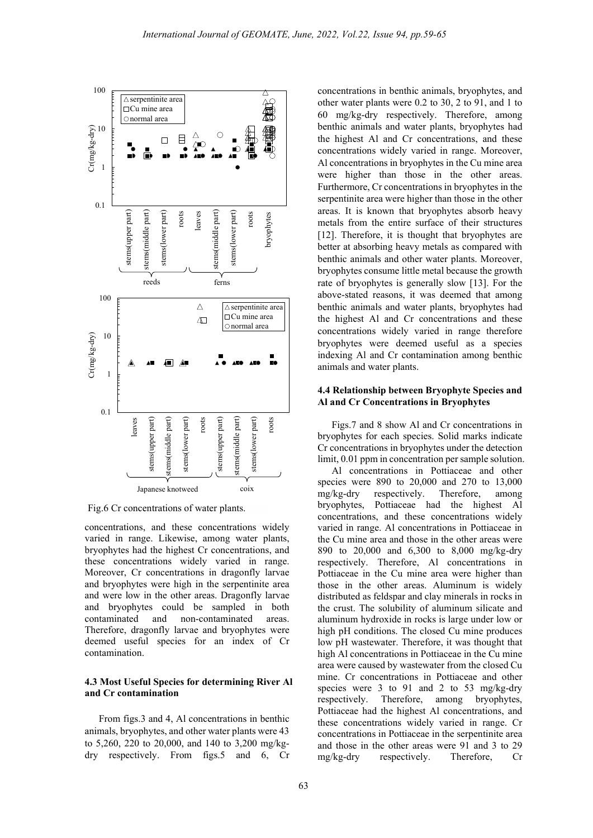

Fig.6 Cr concentrations of water plants.

concentrations, and these concentrations widely varied in range. Likewise, among water plants, bryophytes had the highest Cr concentrations, and these concentrations widely varied in range. Moreover, Cr concentrations in dragonfly larvae and bryophytes were high in the serpentinite area and were low in the other areas. Dragonfly larvae and bryophytes could be sampled in both contaminated and non-contaminated areas. Therefore, dragonfly larvae and bryophytes were deemed useful species for an index of Cr contamination.

## 4.3 Most Useful Species for determining River Al and Cr contamination

From figs.3 and 4, Al concentrations in benthic animals, bryophytes, and other water plants were 43 to 5,260, 220 to 20,000, and 140 to 3,200 mg/kgdry respectively. From figs.5 and 6, Cr

concentrations in benthic animals, bryophytes, and other water plants were 0.2 to 30, 2 to 91, and 1 to 60 mg/kg-dry respectively. Therefore, among benthic animals and water plants, bryophytes had the highest Al and Cr concentrations, and these concentrations widely varied in range. Moreover, Al concentrations in bryophytes in the Cu mine area were higher than those in the other areas. Furthermore, Cr concentrations in bryophytes in the serpentinite area were higher than those in the other areas. It is known that bryophytes absorb heavy metals from the entire surface of their structures [12]. Therefore, it is thought that bryophytes are better at absorbing heavy metals as compared with benthic animals and other water plants. Moreover, bryophytes consume little metal because the growth rate of bryophytes is generally slow [13]. For the above-stated reasons, it was deemed that among serpentinite area | benthic animals and water plants, bryophytes had  $\text{C}$ u mine area  $\vert$  the highest Al and Cr concentrations and these normal area concentrations widely varied in range therefore bryophytes were deemed useful as a species indexing Al and Cr contamination among benthic animals and water plants.

#### 4.4 Relationship between Bryophyte Species and Al and Cr Concentrations in Bryophytes

Figs.7 and 8 show Al and Cr concentrations in bryophytes for each species. Solid marks indicate Cr concentrations in bryophytes under the detection limit, 0.01 ppm in concentration per sample solution.

Al concentrations in Pottiaceae and other species were 890 to 20,000 and 270 to 13,000 mg/kg-dry respectively. Therefore, among bryophytes, Pottiaceae had the highest Al concentrations, and these concentrations widely varied in range. Al concentrations in Pottiaceae in the Cu mine area and those in the other areas were 890 to 20,000 and 6,300 to 8,000 mg/kg-dry respectively. Therefore, Al concentrations in Pottiaceae in the Cu mine area were higher than those in the other areas. Aluminum is widely distributed as feldspar and clay minerals in rocks in the crust. The solubility of aluminum silicate and aluminum hydroxide in rocks is large under low or high pH conditions. The closed Cu mine produces low pH wastewater. Therefore, it was thought that high Al concentrations in Pottiaceae in the Cu mine area were caused by wastewater from the closed Cu mine. Cr concentrations in Pottiaceae and other species were 3 to 91 and 2 to 53 mg/kg-dry respectively. Therefore, among bryophytes, Pottiaceae had the highest Al concentrations, and these concentrations widely varied in range. Cr concentrations in Pottiaceae in the serpentinite area and those in the other areas were 91 and 3 to 29 mg/kg-dry respectively. Therefore, Cr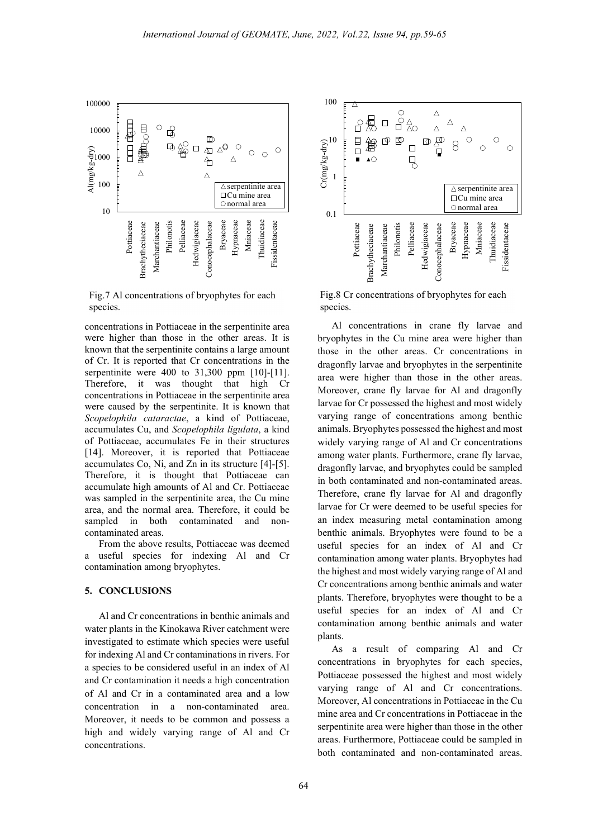

Fig.7 Al concentrations of bryophytes for each species.

concentrations in Pottiaceae in the serpentinite area were higher than those in the other areas. It is known that the serpentinite contains a large amount of Cr. It is reported that Cr concentrations in the serpentinite were 400 to 31,300 ppm [10]-[11]. Therefore, it was thought that high Cr concentrations in Pottiaceae in the serpentinite area were caused by the serpentinite. It is known that Scopelophila cataractae, a kind of Pottiaceae, accumulates Cu, and Scopelophila ligulata, a kind of Pottiaceae, accumulates Fe in their structures [14]. Moreover, it is reported that Pottiaceae accumulates Co, Ni, and Zn in its structure [4]-[5]. Therefore, it is thought that Pottiaceae can accumulate high amounts of Al and Cr. Pottiaceae was sampled in the serpentinite area, the Cu mine area, and the normal area. Therefore, it could be sampled in both contaminated and noncontaminated areas.

From the above results, Pottiaceae was deemed a useful species for indexing Al and Cr contamination among bryophytes.

## 5. CONCLUSIONS

Al and Cr concentrations in benthic animals and water plants in the Kinokawa River catchment were investigated to estimate which species were useful for indexing Al and Cr contaminations in rivers. For a species to be considered useful in an index of Al and Cr contamination it needs a high concentration of Al and Cr in a contaminated area and a low concentration in a non-contaminated area. Moreover, it needs to be common and possess a high and widely varying range of Al and Cr concentrations.



Fig.8 Cr concentrations of bryophytes for each species.

Al concentrations in crane fly larvae and bryophytes in the Cu mine area were higher than those in the other areas. Cr concentrations in dragonfly larvae and bryophytes in the serpentinite area were higher than those in the other areas. Moreover, crane fly larvae for Al and dragonfly larvae for Cr possessed the highest and most widely varying range of concentrations among benthic animals. Bryophytes possessed the highest and most widely varying range of Al and Cr concentrations among water plants. Furthermore, crane fly larvae, dragonfly larvae, and bryophytes could be sampled in both contaminated and non-contaminated areas. Therefore, crane fly larvae for Al and dragonfly larvae for Cr were deemed to be useful species for an index measuring metal contamination among benthic animals. Bryophytes were found to be a useful species for an index of Al and Cr contamination among water plants. Bryophytes had the highest and most widely varying range of Al and Cr concentrations among benthic animals and water plants. Therefore, bryophytes were thought to be a useful species for an index of Al and Cr contamination among benthic animals and water plants.

As a result of comparing Al and Cr concentrations in bryophytes for each species, Pottiaceae possessed the highest and most widely varying range of Al and Cr concentrations. Moreover, Al concentrations in Pottiaceae in the Cu mine area and Cr concentrations in Pottiaceae in the serpentinite area were higher than those in the other areas. Furthermore, Pottiaceae could be sampled in both contaminated and non-contaminated areas.